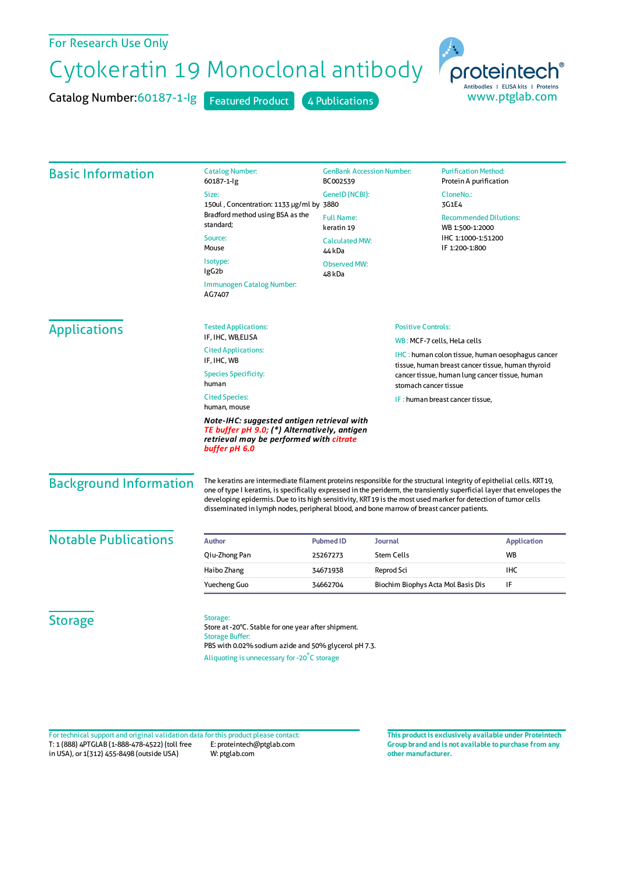## For Research Use Only

## Cytokeratin 19 Monoclonal antibody

Catalog Number:60187-1-lg Featured Product 4 Publications



| <b>Basic Information</b>      | <b>Catalog Number:</b><br>60187-1-lg                                                                                                                                                                                                                                                                                                                                                                                                                          | <b>GenBank Accession Number:</b><br>BC002539                                                        |                                                                         | <b>Purification Method:</b><br>Protein A purification                                                 |                    |  |
|-------------------------------|---------------------------------------------------------------------------------------------------------------------------------------------------------------------------------------------------------------------------------------------------------------------------------------------------------------------------------------------------------------------------------------------------------------------------------------------------------------|-----------------------------------------------------------------------------------------------------|-------------------------------------------------------------------------|-------------------------------------------------------------------------------------------------------|--------------------|--|
|                               | Size:<br>150ul, Concentration: 1133 µg/ml by 3880<br>Bradford method using BSA as the<br>standard;                                                                                                                                                                                                                                                                                                                                                            | GeneID (NCBI):                                                                                      |                                                                         | CloneNo.:<br>3G1E4                                                                                    |                    |  |
|                               |                                                                                                                                                                                                                                                                                                                                                                                                                                                               | <b>Full Name:</b><br>keratin 19<br><b>Calculated MW:</b><br>44 kDa<br><b>Observed MW:</b><br>48 kDa |                                                                         | <b>Recommended Dilutions:</b><br>WB 1:500-1:2000<br>IHC 1:1000-1:51200<br>IF 1:200-1:800              |                    |  |
|                               | Source:<br>Mouse                                                                                                                                                                                                                                                                                                                                                                                                                                              |                                                                                                     |                                                                         |                                                                                                       |                    |  |
|                               | Isotype:<br>lgG <sub>2</sub> b                                                                                                                                                                                                                                                                                                                                                                                                                                |                                                                                                     |                                                                         |                                                                                                       |                    |  |
|                               | Immunogen Catalog Number:<br>AG7407                                                                                                                                                                                                                                                                                                                                                                                                                           |                                                                                                     |                                                                         |                                                                                                       |                    |  |
| <b>Applications</b>           | <b>Tested Applications:</b>                                                                                                                                                                                                                                                                                                                                                                                                                                   |                                                                                                     |                                                                         | <b>Positive Controls:</b>                                                                             |                    |  |
|                               | IF, IHC, WB, ELISA                                                                                                                                                                                                                                                                                                                                                                                                                                            |                                                                                                     |                                                                         | WB: MCF-7 cells, HeLa cells                                                                           |                    |  |
|                               | <b>Cited Applications:</b><br>IF, IHC, WB                                                                                                                                                                                                                                                                                                                                                                                                                     |                                                                                                     |                                                                         | IHC: human colon tissue, human oesophagus cancer<br>tissue, human breast cancer tissue, human thyroid |                    |  |
|                               | <b>Species Specificity:</b><br>human                                                                                                                                                                                                                                                                                                                                                                                                                          |                                                                                                     | cancer tissue, human lung cancer tissue, human<br>stomach cancer tissue |                                                                                                       |                    |  |
|                               | <b>Cited Species:</b><br>human, mouse                                                                                                                                                                                                                                                                                                                                                                                                                         |                                                                                                     |                                                                         | IF: human breast cancer tissue,                                                                       |                    |  |
|                               | Note-IHC: suggested antigen retrieval with<br>TE buffer pH 9.0; (*) Alternatively, antigen<br>retrieval may be performed with citrate<br>buffer pH 6.0                                                                                                                                                                                                                                                                                                        |                                                                                                     |                                                                         |                                                                                                       |                    |  |
| <b>Background Information</b> | The keratins are intermediate filament proteins responsible for the structural integrity of epithelial cells. KRT19,<br>one of type I keratins, is specifically expressed in the periderm, the transiently superficial layer that envelopes the<br>developing epidermis. Due to its high sensitivity, KRT19 is the most used marker for detection of tumor cells<br>disseminated in lymph nodes, peripheral blood, and bone marrow of breast cancer patients. |                                                                                                     |                                                                         |                                                                                                       |                    |  |
| <b>Notable Publications</b>   | <b>Author</b>                                                                                                                                                                                                                                                                                                                                                                                                                                                 | <b>Pubmed ID</b>                                                                                    | Journal                                                                 |                                                                                                       | <b>Application</b> |  |
|                               | Qiu-Zhong Pan                                                                                                                                                                                                                                                                                                                                                                                                                                                 | 25267273                                                                                            | <b>Stem Cells</b>                                                       |                                                                                                       | WB                 |  |
|                               | Haibo Zhang                                                                                                                                                                                                                                                                                                                                                                                                                                                   | 34671938                                                                                            | Reprod Sci                                                              |                                                                                                       | IHC                |  |
|                               | <b>Yuecheng Guo</b>                                                                                                                                                                                                                                                                                                                                                                                                                                           | 34662704                                                                                            | Biochim Biophys Acta Mol Basis Dis                                      |                                                                                                       | IF                 |  |
| <b>Storage</b>                | Storage:<br>Store at -20°C. Stable for one year after shipment.<br><b>Storage Buffer:</b><br>PBS with 0.02% sodium azide and 50% glycerol pH 7.3.                                                                                                                                                                                                                                                                                                             |                                                                                                     |                                                                         |                                                                                                       |                    |  |

Aliquoting is unnecessary for -20<sup>°</sup>C storage

T: 1 (888) 4PTGLAB (1-888-478-4522) (toll free in USA), or 1(312) 455-8498 (outside USA) E: proteintech@ptglab.com W: ptglab.com Fortechnical support and original validation data forthis product please contact: **This productis exclusively available under Proteintech**

**Group brand and is not available to purchase from any other manufacturer.**